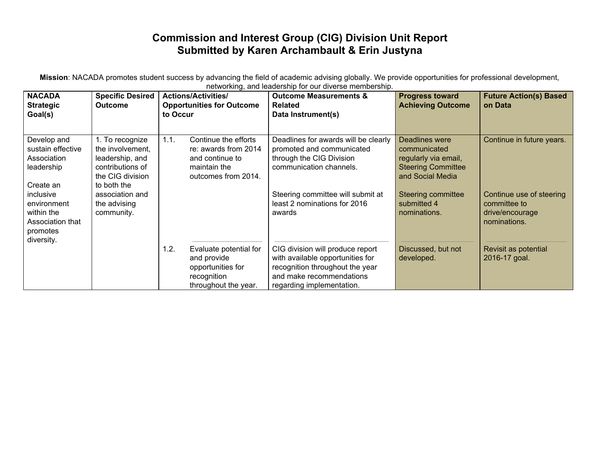## **Commission and Interest Group (CIG) Division Unit Report Submitted by Karen Archambault & Erin Justyna**

**Mission**: NACADA promotes student success by advancing the field of academic advising globally. We provide opportunities for professional development, networking, and leadership for our diverse membership.

| <b>NACADA</b><br><b>Strategic</b><br>Goal(s)                                         | <b>Specific Desired</b><br><b>Outcome</b>                                                                     | <b>Actions/Activities/</b><br><b>Opportunities for Outcome</b><br>to Occur                                     | <b>Outcome Measurements &amp;</b><br><b>Related</b><br>Data Instrument(s)                                                                                        | <b>Progress toward</b><br><b>Achieving Outcome</b>                                                      | <b>Future Action(s) Based</b><br>on Data                                    |
|--------------------------------------------------------------------------------------|---------------------------------------------------------------------------------------------------------------|----------------------------------------------------------------------------------------------------------------|------------------------------------------------------------------------------------------------------------------------------------------------------------------|---------------------------------------------------------------------------------------------------------|-----------------------------------------------------------------------------|
| Develop and<br>sustain effective<br>Association<br>leadership<br>Create an           | 1. To recognize<br>the involvement.<br>leadership, and<br>contributions of<br>the CIG division<br>to both the | 1.1.<br>Continue the efforts<br>re: awards from 2014<br>and continue to<br>maintain the<br>outcomes from 2014. | Deadlines for awards will be clearly<br>promoted and communicated<br>through the CIG Division<br>communication channels.                                         | Deadlines were<br>communicated<br>regularly via email,<br><b>Steering Committee</b><br>and Social Media | Continue in future years.                                                   |
| inclusive<br>environment<br>within the<br>Association that<br>promotes<br>diversity. | association and<br>the advising<br>community.                                                                 |                                                                                                                | Steering committee will submit at<br>least 2 nominations for 2016<br>awards                                                                                      | <b>Steering committee</b><br>submitted 4<br>nominations.                                                | Continue use of steering<br>committee to<br>drive/encourage<br>nominations. |
|                                                                                      |                                                                                                               | 1.2.<br>Evaluate potential for<br>and provide<br>opportunities for<br>recognition<br>throughout the year.      | CIG division will produce report<br>with available opportunities for<br>recognition throughout the year<br>and make recommendations<br>regarding implementation. | Discussed, but not<br>developed.                                                                        | Revisit as potential<br>2016-17 goal.                                       |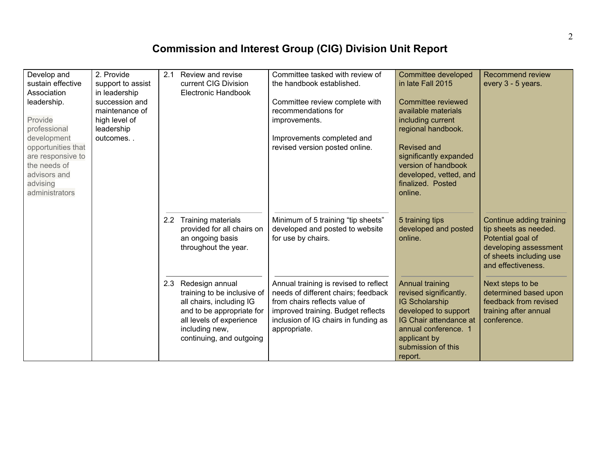## **Commission and Interest Group (CIG) Division Unit Report**

| Develop and<br>sustain effective<br>Association<br>leadership.<br>Provide<br>professional<br>development<br>opportunities that<br>are responsive to<br>the needs of<br>advisors and<br>advising<br>administrators | 2. Provide<br>support to assist<br>in leadership<br>succession and<br>maintenance of<br>high level of<br>leadership<br>outcomes | 2.1 | Review and revise<br>current CIG Division<br>Electronic Handbook                                                                                                                      | Committee tasked with review of<br>the handbook established.<br>Committee review complete with<br>recommendations for<br>improvements.<br>Improvements completed and<br>revised version posted online.      | <b>Committee developed</b><br>in late Fall 2015<br>Committee reviewed<br>available materials<br>including current<br>regional handbook.<br>Revised and<br>significantly expanded<br>version of handbook<br>developed, vetted, and<br>finalized. Posted<br>online. | <b>Recommend review</b><br>every 3 - 5 years.                                                                                                    |
|-------------------------------------------------------------------------------------------------------------------------------------------------------------------------------------------------------------------|---------------------------------------------------------------------------------------------------------------------------------|-----|---------------------------------------------------------------------------------------------------------------------------------------------------------------------------------------|-------------------------------------------------------------------------------------------------------------------------------------------------------------------------------------------------------------|-------------------------------------------------------------------------------------------------------------------------------------------------------------------------------------------------------------------------------------------------------------------|--------------------------------------------------------------------------------------------------------------------------------------------------|
|                                                                                                                                                                                                                   |                                                                                                                                 |     | 2.2 Training materials<br>provided for all chairs on<br>an ongoing basis<br>throughout the year.                                                                                      | Minimum of 5 training "tip sheets"<br>developed and posted to website<br>for use by chairs.                                                                                                                 | 5 training tips<br>developed and posted<br>online.                                                                                                                                                                                                                | Continue adding training<br>tip sheets as needed.<br>Potential goal of<br>developing assessment<br>of sheets including use<br>and effectiveness. |
|                                                                                                                                                                                                                   |                                                                                                                                 |     | 2.3 Redesign annual<br>training to be inclusive of<br>all chairs, including IG<br>and to be appropriate for<br>all levels of experience<br>including new,<br>continuing, and outgoing | Annual training is revised to reflect<br>needs of different chairs; feedback<br>from chairs reflects value of<br>improved training. Budget reflects<br>inclusion of IG chairs in funding as<br>appropriate. | Annual training<br>revised significantly.<br><b>IG Scholarship</b><br>developed to support<br>IG Chair attendance at<br>annual conference. 1<br>applicant by<br>submission of this<br>report.                                                                     | Next steps to be<br>determined based upon<br>feedback from revised<br>training after annual<br>conference.                                       |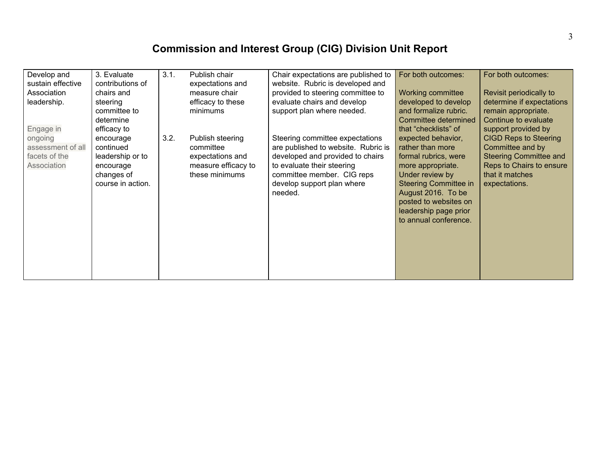## **Commission and Interest Group (CIG) Division Unit Report**

| Develop and<br>sustain effective<br>Association<br>leadership.<br>Engage in | 3. Evaluate<br>contributions of<br>chairs and<br>steering<br>committee to<br>determine<br>efficacy to | 3.1. | Publish chair<br>expectations and<br>measure chair<br>efficacy to these<br>minimums        | Chair expectations are published to<br>website. Rubric is developed and<br>provided to steering committee to<br>evaluate chairs and develop<br>support plan where needed.                                       | For both outcomes:<br>Working committee<br>developed to develop<br>and formalize rubric.<br>Committee determined<br>that "checklists" of                                                                                                | For both outcomes:<br>Revisit periodically to<br>determine if expectations<br>remain appropriate.<br>Continue to evaluate<br>support provided by  |
|-----------------------------------------------------------------------------|-------------------------------------------------------------------------------------------------------|------|--------------------------------------------------------------------------------------------|-----------------------------------------------------------------------------------------------------------------------------------------------------------------------------------------------------------------|-----------------------------------------------------------------------------------------------------------------------------------------------------------------------------------------------------------------------------------------|---------------------------------------------------------------------------------------------------------------------------------------------------|
| ongoing<br>assessment of all<br>facets of the<br>Association                | encourage<br>continued<br>leadership or to<br>encourage<br>changes of<br>course in action.            | 3.2. | Publish steering<br>committee<br>expectations and<br>measure efficacy to<br>these minimums | Steering committee expectations<br>are published to website. Rubric is<br>developed and provided to chairs<br>to evaluate their steering<br>committee member. CIG reps<br>develop support plan where<br>needed. | expected behavior,<br>rather than more<br>formal rubrics, were<br>more appropriate.<br>Under review by<br><b>Steering Committee in</b><br>August 2016. To be<br>posted to websites on<br>leadership page prior<br>to annual conference. | <b>CIGD Reps to Steering</b><br>Committee and by<br><b>Steering Committee and</b><br>Reps to Chairs to ensure<br>that it matches<br>expectations. |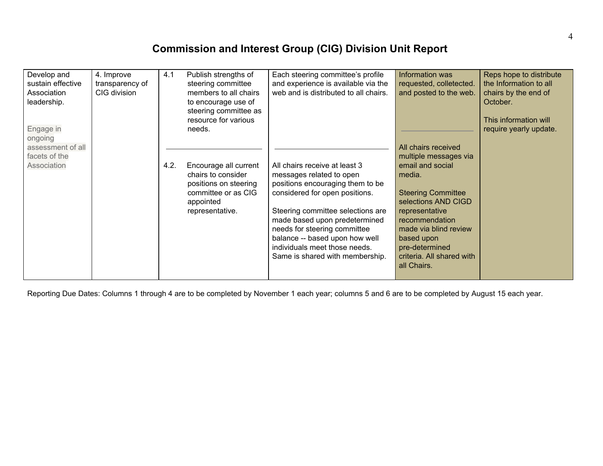## **Commission and Interest Group (CIG) Division Unit Report**

| Develop and<br>sustain effective<br>Association<br>leadership.<br>Engage in<br>ongoing | 4. Improve<br>transparency of<br>CIG division | 4.1  | Publish strengths of<br>steering committee<br>members to all chairs<br>to encourage use of<br>steering committee as<br>resource for various<br>needs. | Each steering committee's profile<br>and experience is available via the<br>web and is distributed to all chairs.                                                                                                                                                                                                                           | Information was<br>requested, colletected.<br>and posted to the web.                                                                                                                                                                                                    | Reps hope to distribute<br>the Information to all<br>chairs by the end of<br>October.<br>This information will<br>require yearly update. |
|----------------------------------------------------------------------------------------|-----------------------------------------------|------|-------------------------------------------------------------------------------------------------------------------------------------------------------|---------------------------------------------------------------------------------------------------------------------------------------------------------------------------------------------------------------------------------------------------------------------------------------------------------------------------------------------|-------------------------------------------------------------------------------------------------------------------------------------------------------------------------------------------------------------------------------------------------------------------------|------------------------------------------------------------------------------------------------------------------------------------------|
| assessment of all<br>facets of the<br>Association                                      |                                               | 4.2. | Encourage all current<br>chairs to consider<br>positions on steering<br>committee or as CIG<br>appointed<br>representative.                           | All chairs receive at least 3<br>messages related to open<br>positions encouraging them to be<br>considered for open positions.<br>Steering committee selections are<br>made based upon predetermined<br>needs for steering committee<br>balance -- based upon how well<br>individuals meet those needs.<br>Same is shared with membership. | All chairs received<br>multiple messages via<br>email and social<br>media.<br><b>Steering Committee</b><br>selections AND CIGD<br>representative<br>recommendation<br>made via blind review<br>based upon<br>pre-determined<br>criteria. All shared with<br>all Chairs. |                                                                                                                                          |

Reporting Due Dates: Columns 1 through 4 are to be completed by November 1 each year; columns 5 and 6 are to be completed by August 15 each year.